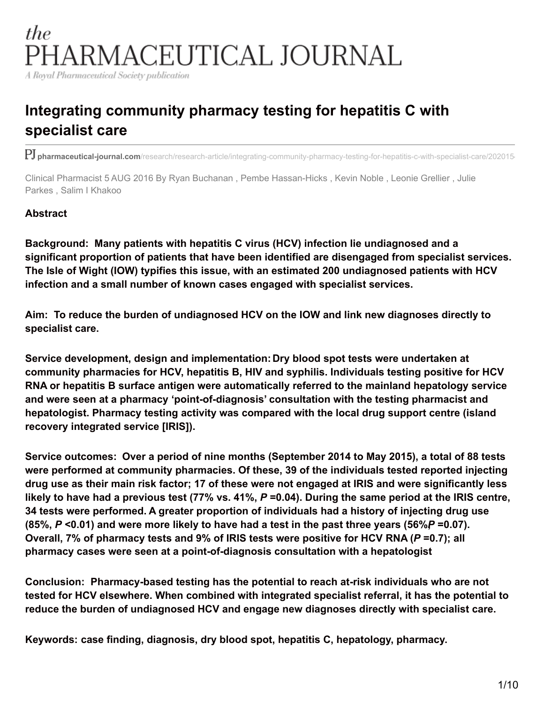# the PHARMACEUTICAL JOURNAL

A Royal Pharmaceutical Society publication

# **Integrating community pharmacy testing for hepatitis C with specialist care**

PJ pharmaceutical-journal.com/research/research-article/integrating-community-pharmacy-testing-for-hepatitis-c-with-specialist-care/202015

Clinical Pharmacist 5 AUG 2016 By Ryan Buchanan , Pembe Hassan-Hicks , Kevin Noble , Leonie Grellier , Julie Parkes , Salim I Khakoo

#### **Abstract**

**Background: Many patients with hepatitis C virus (HCV) infection lie undiagnosed and a significant proportion of patients that have been identified are disengaged from specialist services. The Isle of Wight (IOW) typifies this issue, with an estimated 200 undiagnosed patients with HCV infection and a small number of known cases engaged with specialist services.**

**Aim: To reduce the burden of undiagnosed HCV on the IOW and link new diagnoses directly to specialist care.**

**Service development, design and implementation: Dry blood spot tests were undertaken at community pharmacies for HCV, hepatitis B, HIV and syphilis. Individuals testing positive for HCV RNA or hepatitis B surface antigen were automatically referred to the mainland hepatology service and were seen at a pharmacy 'point-of-diagnosis' consultation with the testing pharmacist and hepatologist. Pharmacy testing activity was compared with the local drug support centre (island recovery integrated service [IRIS]).**

**Service outcomes: Over a period of nine months (September 2014 to May 2015), a total of 88 tests were performed at community pharmacies. Of these, 39 of the individuals tested reported injecting** drug use as their main risk factor; 17 of these were not engaged at IRIS and were significantly less likely to have had a previous test (77% vs. 41%,  $P = 0.04$ ). During the same period at the IRIS centre, **34 tests were performed. A greater proportion of individuals had a history of injecting drug use**  $(85\%, P < 0.01)$  and were more likely to have had a test in the past three years (56%P=0.07). **Overall, 7% of pharmacy tests and 9% of IRIS tests were positive for HCV RNA (***P* **=0.7); all pharmacy cases were seen at a point-of-diagnosis consultation with a hepatologist**

**Conclusion: Pharmacy-based testing has the potential to reach at-risk individuals who are not tested for HCV elsewhere. When combined with integrated specialist referral, it has the potential to reduce the burden of undiagnosed HCV and engage new diagnoses directly with specialist care.**

**Keywords: case finding, diagnosis, dry blood spot, hepatitis C, hepatology, pharmacy.**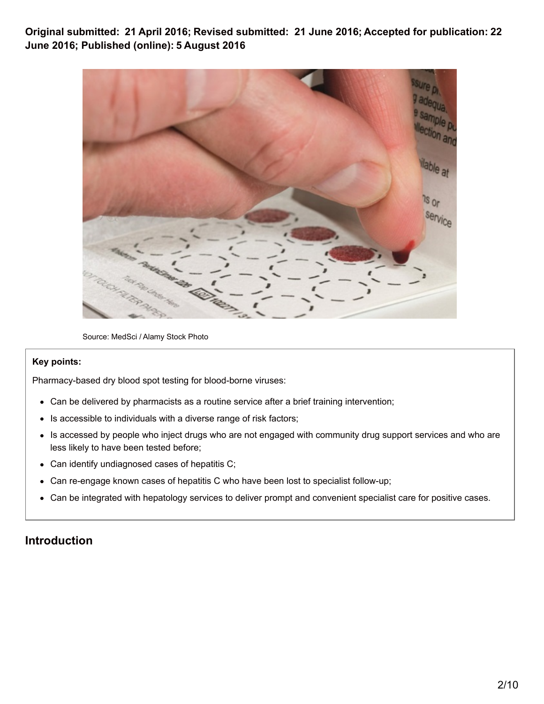**Original submitted: 21 April 2016; Revised submitted: 21 June 2016; Accepted for publication: 22 June 2016; Published (online): 5 August 2016**



Source: MedSci / Alamy Stock Photo

#### **Key points:**

Pharmacy-based dry blood spot testing for blood-borne viruses:

- Can be delivered by pharmacists as a routine service after a brief training intervention;
- Is accessible to individuals with a diverse range of risk factors;  $\bullet$
- Is accessed by people who inject drugs who are not engaged with community drug support services and who are less likely to have been tested before;
- Can identify undiagnosed cases of hepatitis C;  $\bullet$
- Can re-engage known cases of hepatitis C who have been lost to specialist follow-up;  $\bullet$
- Can be integrated with hepatology services to deliver prompt and convenient specialist care for positive cases.  $\bullet$

## **Introduction**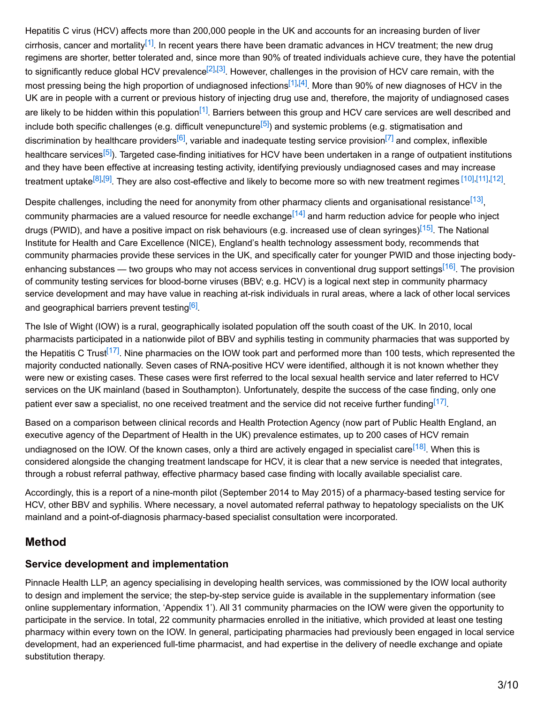<span id="page-2-3"></span><span id="page-2-2"></span><span id="page-2-1"></span><span id="page-2-0"></span>Hepatitis C virus (HCV) affects more than 200,000 people in the UK and accounts for an increasing burden of liver cirrhosis, cancer and mortality<sup>[\[1\]](#page-7-0)</sup>. In recent years there have been dramatic advances in HCV treatment; the new drug regimens are shorter, better tolerated and, since more than 90% of treated individuals achieve cure, they have the potential to significantly reduce global HCV prevalence<sup>[\[2\]](#page-8-0)[,\[3\]](#page-8-1)</sup>. However, challenges in the provision of HCV care remain, with the most pressing being the high proportion of undiagnosed infections<sup>[\[1\]](#page-7-0)[,\[4\]](#page-8-2)</sup>. More than 90% of new diagnoses of HCV in the UK are in people with a current or previous history of injecting drug use and, therefore, the majority of undiagnosed cases are likely to be hidden within this population<sup>[\[1\]](#page-7-0)</sup>. Barriers between this group and HCV care services are well described and include both specific challenges (e.g. difficult venepuncture<sup>[\[5\]](#page-8-3)</sup>) and systemic problems (e.g. stigmatisation and discrimination by healthcare providers<sup>[\[6\]](#page-8-4)</sup>, variable and inadequate testing service provision<sup>[\[7\]](#page-8-5)</sup> and complex, inflexible healthcare services<sup>[\[5\]](#page-8-3)</sup>). Targeted case-finding initiatives for HCV have been undertaken in a range of outpatient institutions and they have been effective at increasing testing activity, identifying previously undiagnosed cases and may increase treatment uptake<sup>[\[8\]](#page-8-6)[,\[9\]](#page-8-7)</sup>. They are also cost-effective and likely to become more so with new treatment regimes <sup>[\[10\]](#page-8-8)[,\[11\]](#page-8-9)[,\[12\]](#page-8-10)</sup>.

<span id="page-2-14"></span><span id="page-2-13"></span><span id="page-2-12"></span><span id="page-2-11"></span><span id="page-2-10"></span><span id="page-2-9"></span><span id="page-2-8"></span><span id="page-2-7"></span><span id="page-2-6"></span><span id="page-2-5"></span><span id="page-2-4"></span>Despite challenges, including the need for anonymity from other pharmacy clients and organisational resistance<sup>[\[13\]](#page-8-11)</sup>, community pharmacies are a valued resource for needle exchange<sup>[\[14\]](#page-8-12)</sup> and harm reduction advice for people who inject drugs (PWID), and have a positive impact on risk behaviours (e.g. increased use of clean syringes)<sup>[\[15\]](#page-8-13)</sup>. The National Institute for Health and Care Excellence (NICE), England's health technology assessment body, recommends that community pharmacies provide these services in the UK, and specifically cater for younger PWID and those injecting body-enhancing substances — two groups who may not access services in conventional drug support settings<sup>[\[16\]](#page-8-14)</sup>. The provision of community testing services for blood-borne viruses (BBV; e.g. HCV) is a logical next step in community pharmacy service development and may have value in reaching at-risk individuals in rural areas, where a lack of other local services and geographical barriers prevent testing<sup>[\[6\]](#page-8-4)</sup>.

<span id="page-2-16"></span><span id="page-2-15"></span>The Isle of Wight (IOW) is a rural, geographically isolated population off the south coast of the UK. In 2010, local pharmacists participated in a nationwide pilot of BBV and syphilis testing in community pharmacies that was supported by the Hepatitis C Trust<sup>[\[17\]](#page-8-15)</sup>. Nine pharmacies on the IOW took part and performed more than 100 tests, which represented the majority conducted nationally. Seven cases of RNA-positive HCV were identified, although it is not known whether they were new or existing cases. These cases were first referred to the local sexual health service and later referred to HCV services on the UK mainland (based in Southampton). Unfortunately, despite the success of the case finding, only one patient ever saw a specialist, no one received treatment and the service did not receive further funding<sup>[\[17\]](#page-8-15)</sup>.

<span id="page-2-17"></span>Based on a comparison between clinical records and Health Protection Agency (now part of Public Health England, an executive agency of the Department of Health in the UK) prevalence estimates, up to 200 cases of HCV remain undiagnosed on the IOW. Of the known cases, only a third are actively engaged in specialist care<sup>[\[18\]](#page-8-16)</sup>. When this is considered alongside the changing treatment landscape for HCV, it is clear that a new service is needed that integrates, through a robust referral pathway, effective pharmacy based case finding with locally available specialist care.

Accordingly, this is a report of a nine-month pilot (September 2014 to May 2015) of a pharmacy-based testing service for HCV, other BBV and syphilis. Where necessary, a novel automated referral pathway to hepatology specialists on the UK mainland and a point-of-diagnosis pharmacy-based specialist consultation were incorporated.

### **Method**

### **Service development and implementation**

Pinnacle Health LLP, an agency specialising in developing health services, was commissioned by the IOW local authority to design and implement the service; the step-by-step service guide is available in the supplementary information (see online supplementary information, 'Appendix 1'). All 31 community pharmacies on the IOW were given the opportunity to participate in the service. In total, 22 community pharmacies enrolled in the initiative, which provided at least one testing pharmacy within every town on the IOW. In general, participating pharmacies had previously been engaged in local service development, had an experienced full-time pharmacist, and had expertise in the delivery of needle exchange and opiate substitution therapy.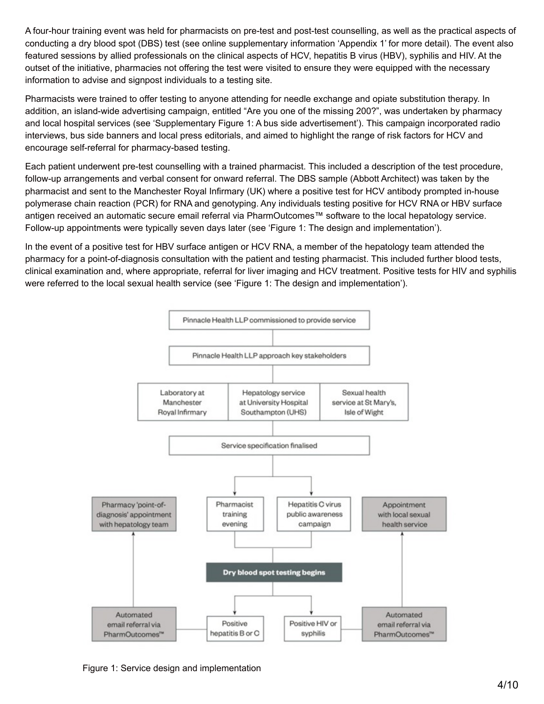A four-hour training event was held for pharmacists on pre-test and post-test counselling, as well as the practical aspects of conducting a dry blood spot (DBS) test (see online supplementary information 'Appendix 1' for more detail). The event also featured sessions by allied professionals on the clinical aspects of HCV, hepatitis B virus (HBV), syphilis and HIV. At the outset of the initiative, pharmacies not offering the test were visited to ensure they were equipped with the necessary information to advise and signpost individuals to a testing site.

Pharmacists were trained to offer testing to anyone attending for needle exchange and opiate substitution therapy. In addition, an island-wide advertising campaign, entitled "Are you one of the missing 200?", was undertaken by pharmacy and local hospital services (see 'Supplementary Figure 1: A bus side advertisement'). This campaign incorporated radio interviews, bus side banners and local press editorials, and aimed to highlight the range of risk factors for HCV and encourage self-referral for pharmacy-based testing.

Each patient underwent pre-test counselling with a trained pharmacist. This included a description of the test procedure, follow-up arrangements and verbal consent for onward referral. The DBS sample (Abbott Architect) was taken by the pharmacist and sent to the Manchester Royal Infirmary (UK) where a positive test for HCV antibody prompted in-house polymerase chain reaction (PCR) for RNA and genotyping. Any individuals testing positive for HCV RNA or HBV surface antigen received an automatic secure email referral via PharmOutcomes™ software to the local hepatology service. Follow-up appointments were typically seven days later (see 'Figure 1: The design and implementation').

In the event of a positive test for HBV surface antigen or HCV RNA, a member of the hepatology team attended the pharmacy for a point-of-diagnosis consultation with the patient and testing pharmacist. This included further blood tests, clinical examination and, where appropriate, referral for liver imaging and HCV treatment. Positive tests for HIV and syphilis were referred to the local sexual health service (see 'Figure 1: The design and implementation').



Figure 1: Service design and implementation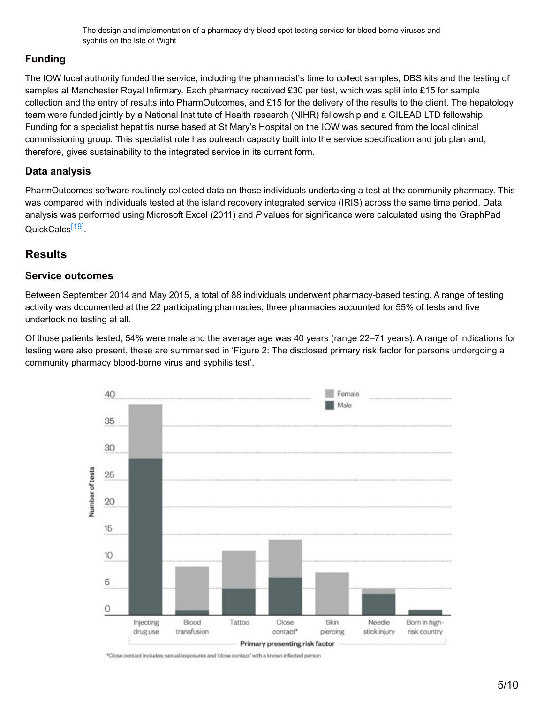The design and implementation of a pharmacy dry blood spot testing service for blood-borne viruses and syphilis on the Isle of Wight

#### **Funding**

The IOW local authority funded the service, including the pharmacist's time to collect samples, DBS kits and the testing of samples at Manchester Royal Infirmary. Each pharmacy received £30 per test, which was split into £15 for sample collection and the entry of results into PharmOutcomes, and  $£15$  for the delivery of the results to the client. The hepatology team were funded jointly by a National Institute of Health research (NIHR) fellowship and a GILEAD LTD fellowship. Funding for a specialist hepatitis nurse based at St Mary's Hospital on the IOW was secured from the local clinical commissioning group. This specialist role has outreach capacity built into the service specification and job plan and, therefore, gives sustainability to the integrated service in its current form.

#### **Data analysis**

PharmOutcomes software routinely collected data on those individuals undertaking a test at the community pharmacy. This was compared with individuals tested at the island recovery integrated service (IRIS) across the same time period. Data analysis was performed using Microsoft Excel (2011) and *P* values for significance were calculated using the GraphPad QuickCalcs<sup>[\[19\]](#page-9-0)</sup>.

### <span id="page-4-0"></span>**Results**

#### **Service outcomes**

Between September 2014 and May 2015, a total of 88 individuals underwent pharmacy-based testing. A range of testing activity was documented at the 22 participating pharmacies; three pharmacies accounted for 55% of tests and five undertook no testing at all.

Of those patients tested, 54% were male and the average age was 40 years (range 22–71 years). A range of indications for testing were also present, these are summarised in 'Figure 2: The disclosed primary risk factor for persons undergoing a community pharmacy blood-borne virus and syphilis test'.



\*Close contact includes: sexual exposures and 'close contact' with a known infected person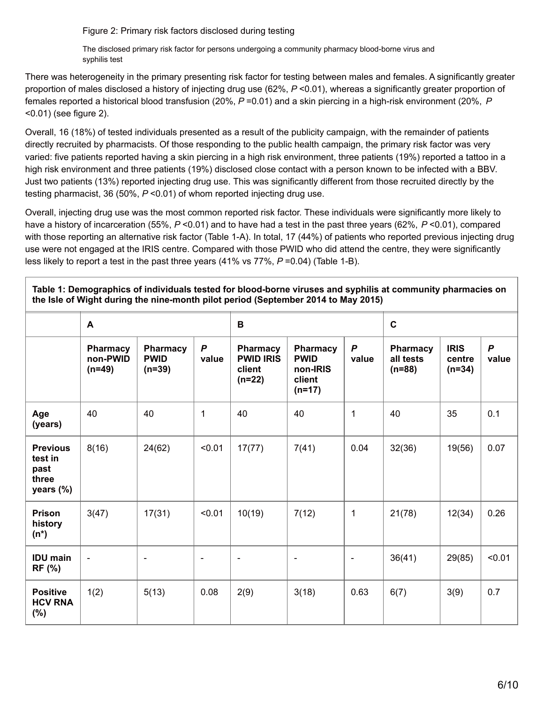Figure 2: Primary risk factors disclosed during testing

The disclosed primary risk factor for persons undergoing a community pharmacy blood-borne virus and syphilis test

There was heterogeneity in the primary presenting risk factor for testing between males and females. A significantly greater proportion of males disclosed a history of injecting drug use (62%, *P* <0.01), whereas a significantly greater proportion of females reported a historical blood transfusion (20%, *P* =0.01) and a skin piercing in a high-risk environment (20%, *P* <0.01) (see figure 2).

Overall, 16 (18%) of tested individuals presented as a result of the publicity campaign, with the remainder of patients directly recruited by pharmacists. Of those responding to the public health campaign, the primary risk factor was very varied: five patients reported having a skin piercing in a high risk environment, three patients (19%) reported a tattoo in a high risk environment and three patients (19%) disclosed close contact with a person known to be infected with a BBV. Just two patients (13%) reported injecting drug use. This was significantly different from those recruited directly by the testing pharmacist, 36 (50%, *P* <0.01) of whom reported injecting drug use.

Overall, injecting drug use was the most common reported risk factor. These individuals were significantly more likely to have a history of incarceration (55%, *P* <0.01) and to have had a test in the past three years (62%, *P* <0.01), compared with those reporting an alternative risk factor (Table 1-A). In total, 17 (44%) of patients who reported previous injecting drug use were not engaged at the IRIS centre. Compared with those PWID who did attend the centre, they were significantly less likely to report a test in the past three years (41% vs 77%, *P* =0.04) (Table 1-B).

**Table 1: Demographics of individuals tested for blood-borne viruses and syphilis at community pharmacies on the Isle of Wight during the nine-month pilot period (September 2014 to May 2015)**

|                                                          | A                                       |                                     |                           | B                                                  |                                                           |                       | $\mathbf{C}$                      |                                   |                           |
|----------------------------------------------------------|-----------------------------------------|-------------------------------------|---------------------------|----------------------------------------------------|-----------------------------------------------------------|-----------------------|-----------------------------------|-----------------------------------|---------------------------|
|                                                          | <b>Pharmacy</b><br>non-PWID<br>$(n=49)$ | Pharmacy<br><b>PWID</b><br>$(n=39)$ | $\boldsymbol{P}$<br>value | Pharmacy<br><b>PWID IRIS</b><br>client<br>$(n=22)$ | Pharmacy<br><b>PWID</b><br>non-IRIS<br>client<br>$(n=17)$ | $\mathsf{P}$<br>value | Pharmacy<br>all tests<br>$(n=88)$ | <b>IRIS</b><br>centre<br>$(n=34)$ | $\boldsymbol{P}$<br>value |
| Age<br>(years)                                           | 40                                      | 40                                  | 1                         | 40                                                 | 40                                                        | 1                     | 40                                | 35                                | 0.1                       |
| <b>Previous</b><br>test in<br>past<br>three<br>years (%) | 8(16)                                   | 24(62)                              | < 0.01                    | 17(77)                                             | 7(41)                                                     | 0.04                  | 32(36)                            | 19(56)                            | 0.07                      |
| <b>Prison</b><br>history<br>$(n^*)$                      | 3(47)                                   | 17(31)                              | < 0.01                    | 10(19)                                             | 7(12)                                                     | $\mathbf 1$           | 21(78)                            | 12(34)                            | 0.26                      |
| <b>IDU</b> main<br><b>RF (%)</b>                         | $\overline{\phantom{a}}$                | $\overline{\phantom{a}}$            | $\blacksquare$            | $\overline{\phantom{a}}$                           | $\overline{\phantom{a}}$                                  | $\qquad \qquad -$     | 36(41)                            | 29(85)                            | < 0.01                    |
| <b>Positive</b><br><b>HCV RNA</b><br>$(\%)$              | 1(2)                                    | 5(13)                               | 0.08                      | 2(9)                                               | 3(18)                                                     | 0.63                  | 6(7)                              | 3(9)                              | 0.7                       |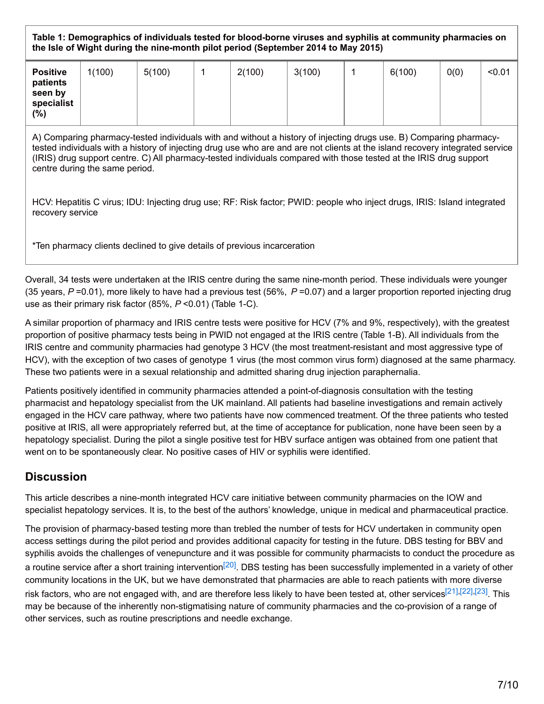**Table 1: Demographics of individuals tested for blood-borne viruses and syphilis at community pharmacies on the Isle of Wight during the nine-month pilot period (September 2014 to May 2015)**

| <b>Positive</b><br>patients<br>seen by<br>specialist<br>(%) | 1(100) | 5(100) | 2(100) | 3(100) | 6(100) | 0(0) | < 0.01 |
|-------------------------------------------------------------|--------|--------|--------|--------|--------|------|--------|
|                                                             |        |        |        |        |        |      |        |

A) Comparing pharmacy-tested individuals with and without a history of injecting drugs use. B) Comparing pharmacytested individuals with a history of injecting drug use who are and are not clients at the island recovery integrated service (IRIS) drug support centre. C) All pharmacy-tested individuals compared with those tested at the IRIS drug support centre during the same period.

HCV: Hepatitis C virus; IDU: Injecting drug use; RF: Risk factor; PWID: people who inject drugs, IRIS: Island integrated recovery service

\*Ten pharmacy clients declined to give details of previous incarceration

Overall, 34 tests were undertaken at the IRIS centre during the same nine-month period. These individuals were younger (35 years, *P* =0.01), more likely to have had a previous test (56%, *P* =0.07) and a larger proportion reported injecting drug use as their primary risk factor (85%, *P* <0.01) (Table 1-C).

A similar proportion of pharmacy and IRIS centre tests were positive for HCV (7% and 9%, respectively), with the greatest proportion of positive pharmacy tests being in PWID not engaged at the IRIS centre (Table 1-B). All individuals from the IRIS centre and community pharmacies had genotype 3 HCV (the most treatment-resistant and most aggressive type of HCV), with the exception of two cases of genotype 1 virus (the most common virus form) diagnosed at the same pharmacy. These two patients were in a sexual relationship and admitted sharing drug injection paraphernalia.

Patients positively identified in community pharmacies attended a point-of-diagnosis consultation with the testing pharmacist and hepatology specialist from the UK mainland. All patients had baseline investigations and remain actively engaged in the HCV care pathway, where two patients have now commenced treatment. Of the three patients who tested positive at IRIS, all were appropriately referred but, at the time of acceptance for publication, none have been seen by a hepatology specialist. During the pilot a single positive test for HBV surface antigen was obtained from one patient that went on to be spontaneously clear. No positive cases of HIV or syphilis were identified.

# **Discussion**

This article describes a nine-month integrated HCV care initiative between community pharmacies on the IOW and specialist hepatology services. It is, to the best of the authors' knowledge, unique in medical and pharmaceutical practice.

<span id="page-6-3"></span><span id="page-6-2"></span><span id="page-6-1"></span><span id="page-6-0"></span>The provision of pharmacy-based testing more than trebled the number of tests for HCV undertaken in community open access settings during the pilot period and provides additional capacity for testing in the future. DBS testing for BBV and syphilis avoids the challenges of venepuncture and it was possible for community pharmacists to conduct the procedure as a routine service after a short training intervention<sup>[\[20\]](#page-9-1)</sup>. DBS testing has been successfully implemented in a variety of other community locations in the UK, but we have demonstrated that pharmacies are able to reach patients with more diverse risk factors, who are not engaged with, and are therefore less likely to have been tested at, other services<sup>[\[21\]](#page-9-2)[,\[22\]](#page-9-3)[,\[23\]](#page-9-4)</sup>. This may be because of the inherently non-stigmatising nature of community pharmacies and the co-provision of a range of other services, such as routine prescriptions and needle exchange.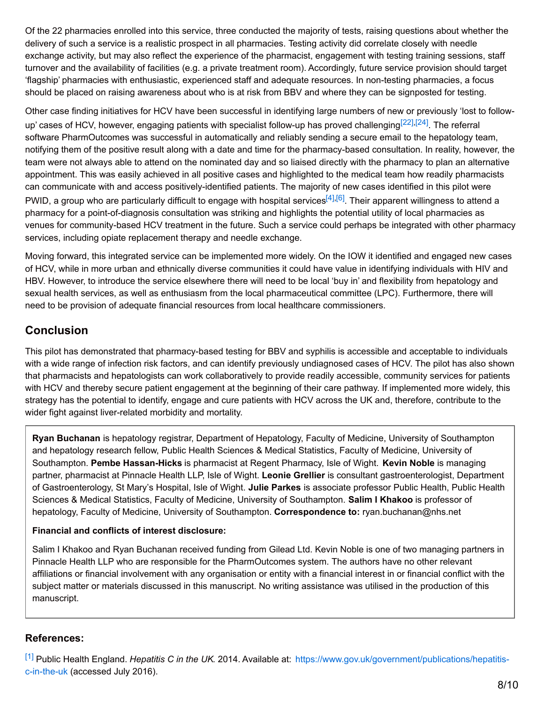Of the 22 pharmacies enrolled into this service, three conducted the majority of tests, raising questions about whether the delivery of such a service is a realistic prospect in all pharmacies. Testing activity did correlate closely with needle exchange activity, but may also reflect the experience of the pharmacist, engagement with testing training sessions, staff turnover and the availability of facilities (e.g. a private treatment room). Accordingly, future service provision should target 'flagship' pharmacies with enthusiastic, experienced staff and adequate resources. In non-testing pharmacies, a focus should be placed on raising awareness about who is at risk from BBV and where they can be signposted for testing.

<span id="page-7-1"></span>Other case finding initiatives for HCV have been successful in identifying large numbers of new or previously 'lost to follow-up' cases of HCV, however, engaging patients with specialist follow-up has proved challenging<sup>[\[22\]](#page-9-3)[,\[24\]](#page-9-5)</sup>. The referral software PharmOutcomes was successful in automatically and reliably sending a secure email to the hepatology team, notifying them of the positive result along with a date and time for the pharmacy-based consultation. In reality, however, the team were not always able to attend on the nominated day and so liaised directly with the pharmacy to plan an alternative appointment. This was easily achieved in all positive cases and highlighted to the medical team how readily pharmacists can communicate with and access positively-identified patients. The majority of new cases identified in this pilot were PWID, a group who are particularly difficult to engage with hospital services<sup>[\[4\]](#page-8-2)[,\[6\]](#page-8-4)</sup>. Their apparent willingness to attend a pharmacy for a point-of-diagnosis consultation was striking and highlights the potential utility of local pharmacies as venues for community-based HCV treatment in the future. Such a service could perhaps be integrated with other pharmacy services, including opiate replacement therapy and needle exchange.

Moving forward, this integrated service can be implemented more widely. On the IOW it identified and engaged new cases of HCV, while in more urban and ethnically diverse communities it could have value in identifying individuals with HIV and HBV. However, to introduce the service elsewhere there will need to be local 'buy in' and flexibility from hepatology and sexual health services, as well as enthusiasm from the local pharmaceutical committee (LPC). Furthermore, there will need to be provision of adequate financial resources from local healthcare commissioners.

# **Conclusion**

This pilot has demonstrated that pharmacy-based testing for BBV and syphilis is accessible and acceptable to individuals with a wide range of infection risk factors, and can identify previously undiagnosed cases of HCV. The pilot has also shown that pharmacists and hepatologists can work collaboratively to provide readily accessible, community services for patients with HCV and thereby secure patient engagement at the beginning of their care pathway. If implemented more widely, this strategy has the potential to identify, engage and cure patients with HCV across the UK and, therefore, contribute to the wider fight against liver-related morbidity and mortality.

**Ryan Buchanan** is hepatology registrar, Department of Hepatology, Faculty of Medicine, University of Southampton and hepatology research fellow, Public Health Sciences & Medical Statistics, Faculty of Medicine, University of Southampton. **Pembe Hassan-Hicks** is pharmacist at Regent Pharmacy, Isle of Wight. **Kevin Noble** is managing partner, pharmacist at Pinnacle Health LLP, Isle of Wight. **Leonie Grellier** is consultant gastroenterologist, Department of Gastroenterology, St Mary's Hospital, Isle of Wight. **Julie Parkes** is associate professor Public Health, Public Health Sciences & Medical Statistics, Faculty of Medicine, University of Southampton. **Salim I Khakoo** is professor of hepatology, Faculty of Medicine, University of Southampton. **Correspondence to:** ryan.buchanan@nhs.net

#### **Financial and conflicts of interest disclosure:**

Salim I Khakoo and Ryan Buchanan received funding from Gilead Ltd. Kevin Noble is one of two managing partners in Pinnacle Health LLP who are responsible for the PharmOutcomes system. The authors have no other relevant affiliations or financial involvement with any organisation or entity with a financial interest in or financial conflict with the subject matter or materials discussed in this manuscript. No writing assistance was utilised in the production of this manuscript.

#### **References:**

<span id="page-7-0"></span>[\[1\]](#page-2-0) Public Health England. *Hepatitis C in the UK*. 2014. Available at: [https://www.gov.uk/government/publications/hepatitis](https://www.gov.uk/government/publications/hepatitis-c-in-the-uk)c-in-the-uk (accessed July 2016).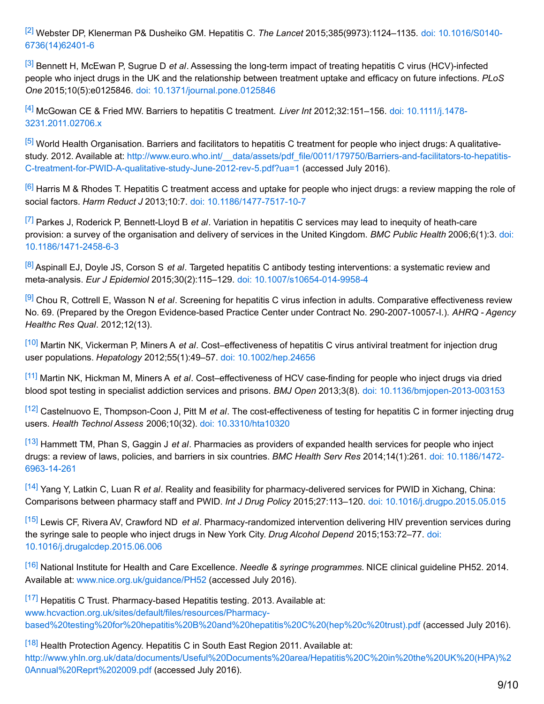<span id="page-8-0"></span>[\[2\]](#page-2-1) Webster DP, Klenerman P& Dusheiko GM. Hepatitis C. *The Lancet* [2015;385\(9973\):1124–1135.](http://dx.doi.org/10.1016/s0140-6736(14)62401-6 ) doi: 10.1016/S0140- 6736(14)62401-6

<span id="page-8-1"></span>[\[3\]](#page-2-2) Bennett H, McEwan P, Sugrue D *et al*. Assessing the long-term impact of treating hepatitis C virus (HCV)-infected people who inject drugs in the UK and the relationship between treatment uptake and efficacy on future infections. *PLoS One* 2015;10(5):e0125846. doi: [10.1371/journal.pone.0125846](http://dx.doi.org/10.1371/journal.pone.0125846)

<span id="page-8-2"></span>[\[4\]](#page-2-3) McGowan CE & Fried MW. Barriers to hepatitis C treatment. *Liver Int* 2012;32:151–156. doi: 10.1111/j.1478- [3231.2011.02706.x](http://dx.doi.org/10.1111/j.1478-3231.2011.02706.x)

<span id="page-8-3"></span>[\[5\]](#page-2-4) World Health Organisation. Barriers and facilitators to hepatitis C treatment for people who inject drugs: A qualitativestudy. 2012. Available at: http://www.euro.who.int/ data/assets/pdf\_file/0011/179750/Barriers-and-facilitators-to-hepatitis-C-treatment-for-PWID-A-qualitative-study-June-2012-rev-5.pdf?ua=1 (accessed July 2016).

<span id="page-8-4"></span>[\[6\]](#page-2-5) Harris M & Rhodes T. Hepatitis C treatment access and uptake for people who inject drugs: a review mapping the role of social factors. *Harm Reduct J* 2013;10:7. doi: [10.1186/1477-7517-10-7](http://dx.doi.org/10.1186/1477-7517-10-7)

<span id="page-8-5"></span>[\[7\]](#page-2-6) Parkes J, Roderick P, Bennett-Lloyd B *et al*. Variation in hepatitis C services may lead to inequity of heath-care provision: a survey of the organisation and delivery of services in the United Kingdom. *BMC Public Health* 2006;6(1):3. doi: [10.1186/1471-2458-6-3](http://dx.doi.org/10.1186/1471-2458-6-3)

<span id="page-8-6"></span>[\[8\]](#page-2-7) Aspinall EJ, Doyle JS, Corson S *et al*. Targeted hepatitis C antibody testing interventions: a systematic review and meta-analysis. *Eur J Epidemiol* 2015;30(2):115–129. doi: [10.1007/s10654-014-9958-4](http://dx.doi.org/10.1007/s10654-014-9958-4 )

<span id="page-8-7"></span>[\[9\]](#page-2-8) Chou R, Cottrell E, Wasson N *et al*. Screening for hepatitis C virus infection in adults. Comparative effectiveness review No. 69. (Prepared by the Oregon Evidence-based Practice Center under Contract No. 290-2007-10057-I.). *AHRQ - Agency Healthc Res Qual*. 2012;12(13).

<span id="page-8-8"></span>[\[10\]](#page-2-9) Martin NK, Vickerman P, Miners A *et al*. Cost–effectiveness of hepatitis C virus antiviral treatment for injection drug user populations. *Hepatology* 2012;55(1):49–57. doi: [10.1002/hep.24656](http://dx.doi.org/10.1002/hep.24656)

<span id="page-8-9"></span>[\[11\]](#page-2-10) Martin NK, Hickman M, Miners A *et al*. Cost–effectiveness of HCV case-finding for people who inject drugs via dried blood spot testing in specialist addiction services and prisons. *BMJ Open* 2013;3(8). doi: [10.1136/bmjopen-2013-003153](http://dx.doi.org/10.1136/bmjopen-2013-003153)

<span id="page-8-10"></span>[\[12\]](#page-2-11) Castelnuovo E, Thompson-Coon J, Pitt M *et al*. The cost-effectiveness of testing for hepatitis C in former injecting drug users. *Health Technol Assess* 2006;10(32). doi: [10.3310/hta10320](http://dx.doi.org/10.3310/hta10320)

<span id="page-8-11"></span>[\[13\]](#page-2-12) Hammett TM, Phan S, Gaggin J *et al*. Pharmacies as providers of expanded health services for people who inject drugs: a review of laws, policies, and barriers in six countries. *BMC Health Serv Res* [2014;14\(1\):261.](http://dx.doi.org/10.1186/1472-6963-14-261) doi: 10.1186/1472- 6963-14-261

<span id="page-8-12"></span>[\[14\]](#page-2-13) Yang Y, Latkin C, Luan R *et al*. Reality and feasibility for pharmacy-delivered services for PWID in Xichang, China: Comparisons between pharmacy staff and PWID. *Int J Drug Policy* 2015;27:113–120. doi: [10.1016/j.drugpo.2015.05.015](http://dx.doi.org/10.1016/j.drugpo.2015.05.015)

<span id="page-8-13"></span>[\[15\]](#page-2-14) Lewis CF, Rivera AV, Crawford ND *et al*. Pharmacy-randomized intervention delivering HIV prevention services during the syringe sale to people who inject drugs in New York City. *Drug Alcohol Depend* 2015;153:72–77. doi: [10.1016/j.drugalcdep.2015.06.006](http://dx.doi.org/10.1016/j.drugalcdep.2015.06.006)

<span id="page-8-14"></span>[\[16\]](#page-2-15) National Institute for Health and Care Excellence. *Needle & syringe programmes.* NICE clinical guideline PH52. 2014. Available at: [www.nice.org.uk/guidance/PH52](http://www.nice.org.uk/guidance/PH52) (accessed July 2016).

<span id="page-8-15"></span> $[17]$  Hepatitis C Trust. Pharmacy-based Hepatitis testing. 2013. Available at: www.hcvaction.org.uk/sites/default/files/resources/Pharmacy[based%20testing%20for%20hepatitis%20B%20and%20hepatitis%20C%20\(hep%20c%20trust\).pdf](http://www.hcvaction.org.uk/sites/default/files/resources/Pharmacy-based testing for hepatitis B and hepatitis C (hep c trust).pdf) (accessed July 2016).

<span id="page-8-16"></span>[\[18\]](#page-2-17) Health Protection Agency. Hepatitis C in South East Region 2011. Available at:

[http://www.yhln.org.uk/data/documents/Useful%20Documents%20area/Hepatitis%20C%20in%20the%20UK%20\(HPA\)%2](http://www.yhln.org.uk/data/documents/Useful Documents area/Hepatitis C in the UK (HPA) Annual Reprt 2009.pdf) 0Annual%20Reprt%202009.pdf (accessed July 2016).